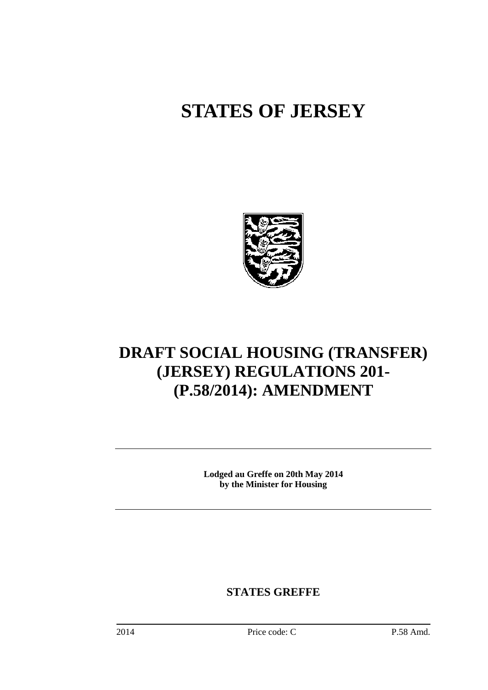# **STATES OF JERSEY**



# **DRAFT SOCIAL HOUSING (TRANSFER) (JERSEY) REGULATIONS 201- (P.58/2014): AMENDMENT**

**Lodged au Greffe on 20th May 2014 by the Minister for Housing** 

**STATES GREFFE**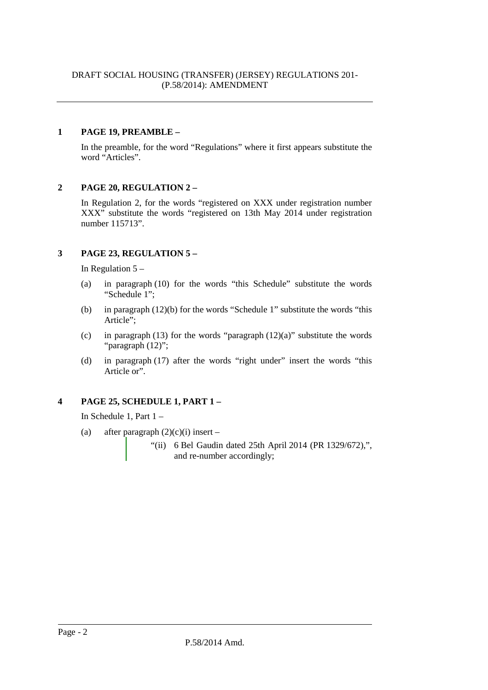#### **1 PAGE 19, PREAMBLE –**

In the preamble, for the word "Regulations" where it first appears substitute the word "Articles".

#### **2 PAGE 20, REGULATION 2 –**

In Regulation 2, for the words "registered on XXX under registration number XXX" substitute the words "registered on 13th May 2014 under registration number 115713".

# **3 PAGE 23, REGULATION 5 –**

In Regulation  $5 -$ 

- (a) in paragraph (10) for the words "this Schedule" substitute the words "Schedule 1";
- (b) in paragraph (12)(b) for the words "Schedule 1" substitute the words "this Article";
- (c) in paragraph (13) for the words "paragraph  $(12)(a)$ " substitute the words "paragraph (12)";
- (d) in paragraph (17) after the words "right under" insert the words "this Article or".

# **4 PAGE 25, SCHEDULE 1, PART 1 –**

In Schedule 1, Part 1 –

- (a) after paragraph  $(2)(c)(i)$  insert
	- "(ii) 6 Bel Gaudin dated 25th April 2014 (PR 1329/672),", and re-number accordingly;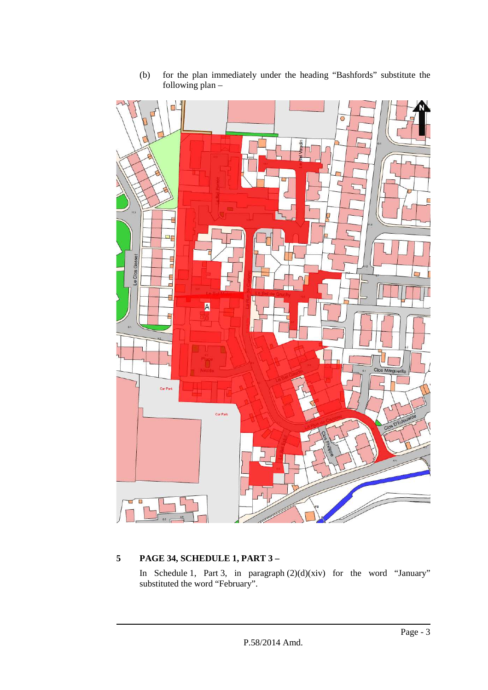

(b) for the plan immediately under the heading "Bashfords" substitute the following  $plan -$ 

# **5 PAGE 34, SCHEDULE 1, PART 3 –**

In Schedule 1, Part 3, in paragraph  $(2)(d)(xiv)$  for the word "January" substituted the word "February".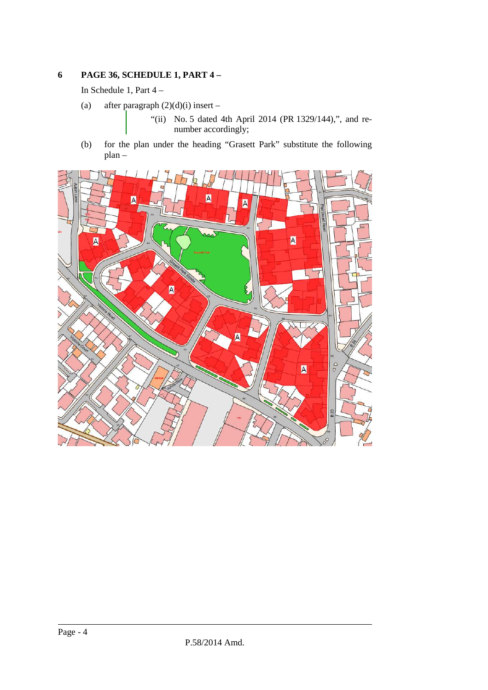#### **6 PAGE 36, SCHEDULE 1, PART 4 –**

In Schedule 1, Part 4 –

(a) after paragraph  $(2)(d)(i)$  insert –

"(ii) No. 5 dated 4th April 2014 (PR 1329/144),", and renumber accordingly;

(b) for the plan under the heading "Grasett Park" substitute the following plan –

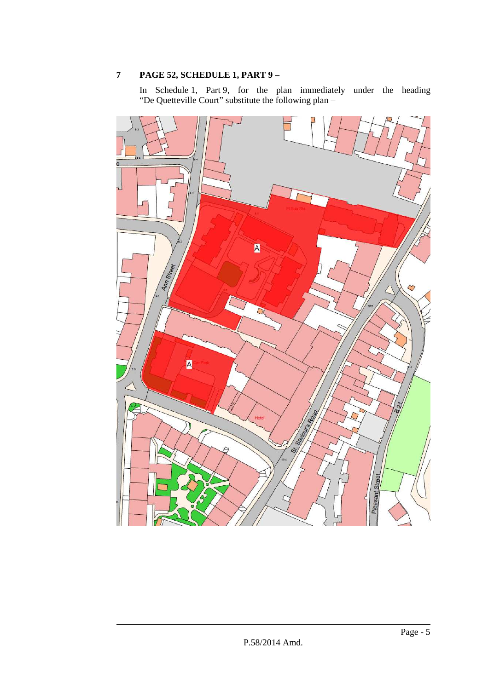# **7 PAGE 52, SCHEDULE 1, PART 9 –**

In Schedule 1, Part 9, for the plan immediately under the heading "De Quetteville Court" substitute the following plan –

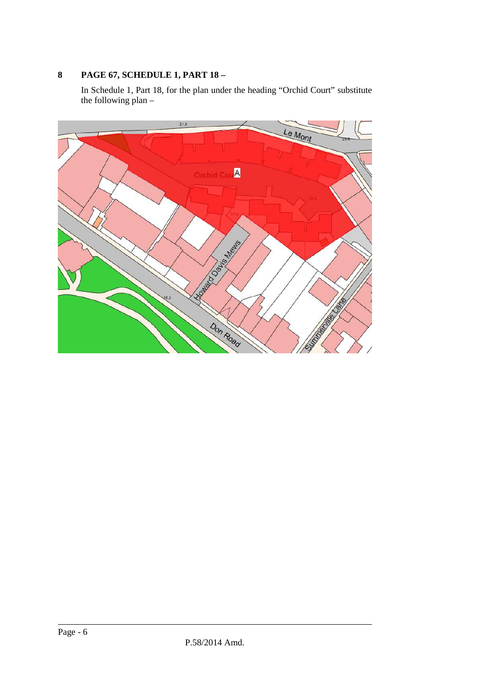# **8 PAGE 67, SCHEDULE 1, PART 18 –**

In Schedule 1, Part 18, for the plan under the heading "Orchid Court" substitute the following plan –

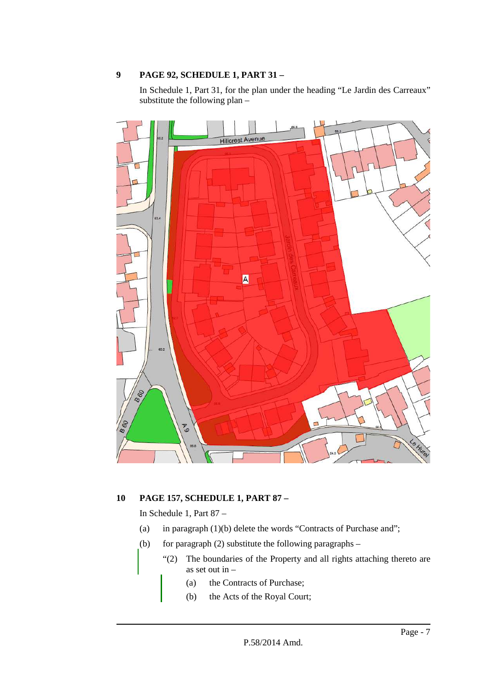#### **9 PAGE 92, SCHEDULE 1, PART 31 –**

In Schedule 1, Part 31, for the plan under the heading "Le Jardin des Carreaux" substitute the following plan –



# **10 PAGE 157, SCHEDULE 1, PART 87 –**

In Schedule 1, Part 87 –

- (a) in paragraph (1)(b) delete the words "Contracts of Purchase and";
- (b) for paragraph (2) substitute the following paragraphs
	- "(2) The boundaries of the Property and all rights attaching thereto are as set out in –
		- (a) the Contracts of Purchase;
		- (b) the Acts of the Royal Court;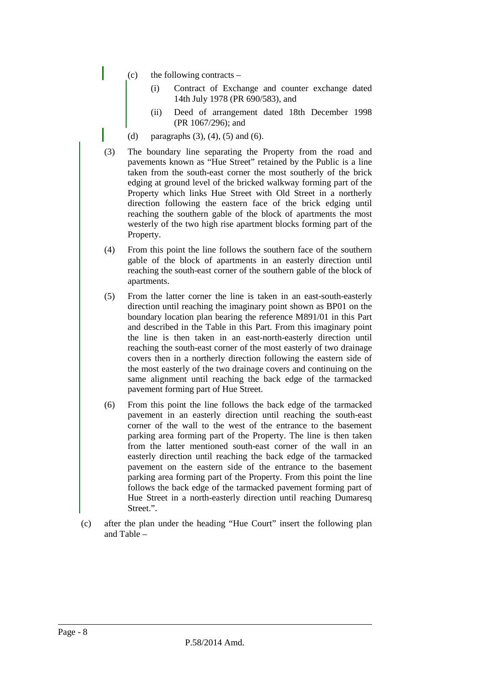- (c) the following contracts
	- (i) Contract of Exchange and counter exchange dated 14th July 1978 (PR 690/583), and
	- (ii) Deed of arrangement dated 18th December 1998 (PR 1067/296); and
- (d) paragraphs  $(3)$ ,  $(4)$ ,  $(5)$  and  $(6)$ .
- (3) The boundary line separating the Property from the road and pavements known as "Hue Street" retained by the Public is a line taken from the south-east corner the most southerly of the brick edging at ground level of the bricked walkway forming part of the Property which links Hue Street with Old Street in a northerly direction following the eastern face of the brick edging until reaching the southern gable of the block of apartments the most westerly of the two high rise apartment blocks forming part of the Property.
- (4) From this point the line follows the southern face of the southern gable of the block of apartments in an easterly direction until reaching the south-east corner of the southern gable of the block of apartments.
- (5) From the latter corner the line is taken in an east-south-easterly direction until reaching the imaginary point shown as BP01 on the boundary location plan bearing the reference M891/01 in this Part and described in the Table in this Part. From this imaginary point the line is then taken in an east-north-easterly direction until reaching the south-east corner of the most easterly of two drainage covers then in a northerly direction following the eastern side of the most easterly of the two drainage covers and continuing on the same alignment until reaching the back edge of the tarmacked pavement forming part of Hue Street.
- (6) From this point the line follows the back edge of the tarmacked pavement in an easterly direction until reaching the south-east corner of the wall to the west of the entrance to the basement parking area forming part of the Property. The line is then taken from the latter mentioned south-east corner of the wall in an easterly direction until reaching the back edge of the tarmacked pavement on the eastern side of the entrance to the basement parking area forming part of the Property. From this point the line follows the back edge of the tarmacked pavement forming part of Hue Street in a north-easterly direction until reaching Dumaresq Street.".
- (c) after the plan under the heading "Hue Court" insert the following plan and Table –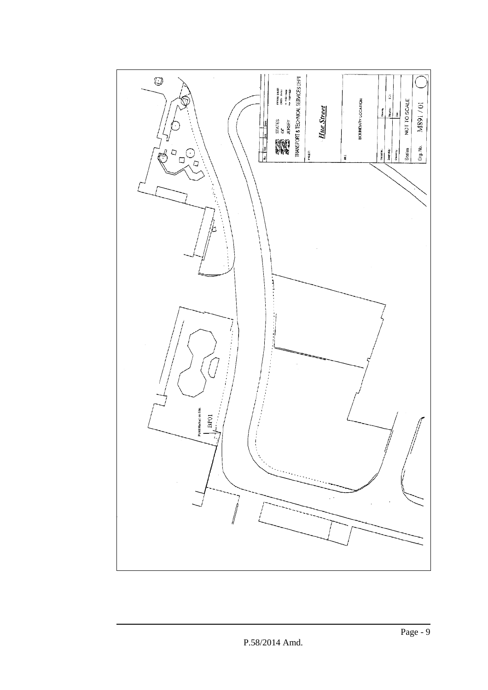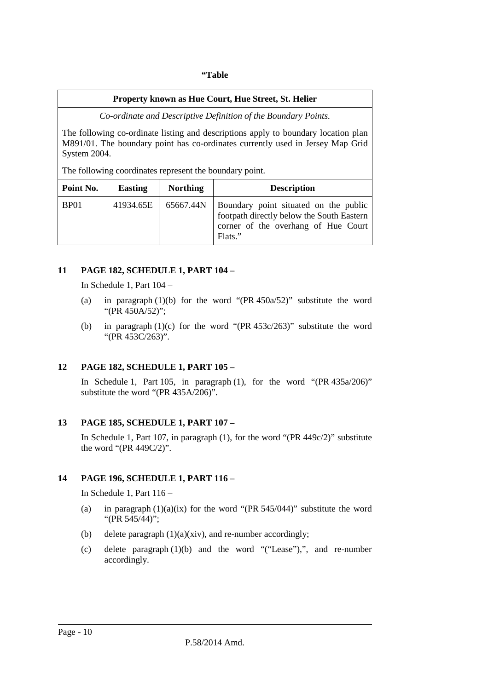#### **"Table**

#### **Property known as Hue Court, Hue Street, St. Helier**

*Co-ordinate and Descriptive Definition of the Boundary Points.* 

The following co-ordinate listing and descriptions apply to boundary location plan M891/01. The boundary point has co-ordinates currently used in Jersey Map Grid System 2004.

The following coordinates represent the boundary point.

| Point No. | <b>Easting</b> | <b>Northing</b> | <b>Description</b>                                                                                                                   |
|-----------|----------------|-----------------|--------------------------------------------------------------------------------------------------------------------------------------|
| BP01      | 41934.65E      | 65667.44N       | Boundary point situated on the public<br>footpath directly below the South Eastern<br>corner of the overhang of Hue Court<br>Flats." |

#### **11 PAGE 182, SCHEDULE 1, PART 104 –**

In Schedule 1, Part 104 –

- (a) in paragraph  $(1)(b)$  for the word "(PR 450a/52)" substitute the word "(PR 450A/52)";
- (b) in paragraph (1)(c) for the word "(PR 453c/263)" substitute the word "(PR 453C/263)".

#### **12 PAGE 182, SCHEDULE 1, PART 105 –**

In Schedule 1, Part 105, in paragraph (1), for the word " $(PR 435a/206)$ " substitute the word "(PR 435A/206)".

#### **13 PAGE 185, SCHEDULE 1, PART 107 –**

In Schedule 1, Part 107, in paragraph (1), for the word "(PR 449c/2)" substitute the word "(PR 449C/2)".

#### **14 PAGE 196, SCHEDULE 1, PART 116 –**

In Schedule 1, Part 116 –

- (a) in paragraph  $(1)(a)(ix)$  for the word "(PR 545/044)" substitute the word "(PR 545/44)";
- (b) delete paragraph (1)(a)(xiv), and re-number accordingly;
- (c) delete paragraph (1)(b) and the word "("Lease"),", and re-number accordingly.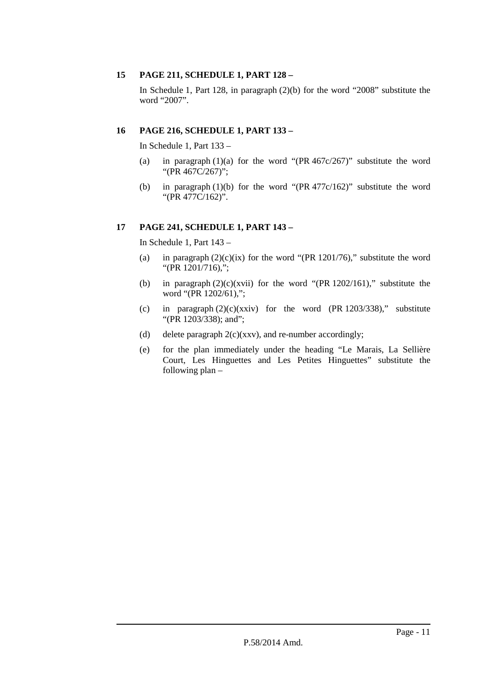#### **15 PAGE 211, SCHEDULE 1, PART 128 –**

In Schedule 1, Part 128, in paragraph (2)(b) for the word "2008" substitute the word "2007".

#### **16 PAGE 216, SCHEDULE 1, PART 133 –**

In Schedule 1, Part 133 –

- (a) in paragraph  $(1)(a)$  for the word "(PR 467c/267)" substitute the word "(PR 467C/267)";
- (b) in paragraph (1)(b) for the word "(PR 477c/162)" substitute the word "(PR 477C/162)".

#### **17 PAGE 241, SCHEDULE 1, PART 143 –**

In Schedule 1, Part 143 –

- (a) in paragraph  $(2)(c)(ix)$  for the word "(PR 1201/76)," substitute the word "(PR 1201/716),";
- (b) in paragraph  $(2)(c)(xvii)$  for the word "(PR 1202/161)," substitute the word "(PR 1202/61),";
- (c) in paragraph  $(2)(c)(xxiv)$  for the word (PR 1203/338)," substitute "(PR 1203/338); and";
- (d) delete paragraph  $2(c)(xxv)$ , and re-number accordingly;
- (e) for the plan immediately under the heading "Le Marais, La Sellière Court, Les Hinguettes and Les Petites Hinguettes" substitute the following plan –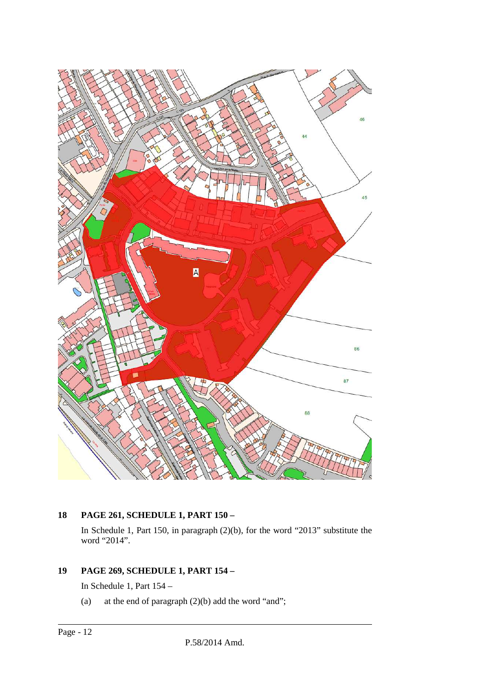

# **18 PAGE 261, SCHEDULE 1, PART 150 –**

In Schedule 1, Part 150, in paragraph (2)(b), for the word "2013" substitute the word "2014".

# **19 PAGE 269, SCHEDULE 1, PART 154 –**

In Schedule 1, Part 154 –

(a) at the end of paragraph  $(2)(b)$  add the word "and";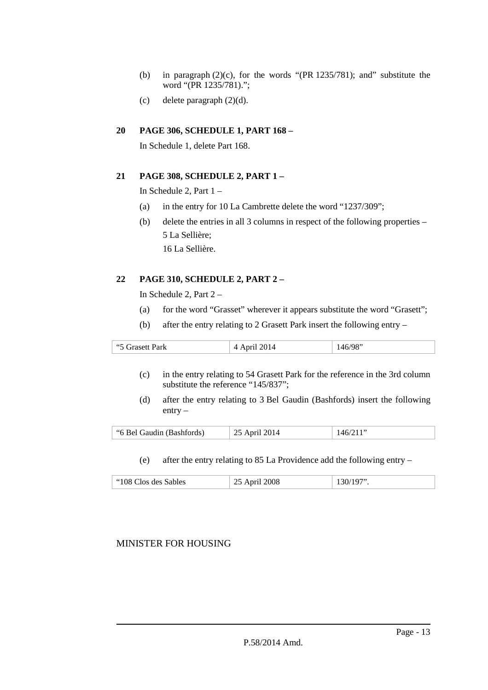- (b) in paragraph  $(2)(c)$ , for the words "(PR 1235/781); and" substitute the word "(PR 1235/781).";
- (c) delete paragraph  $(2)(d)$ .

#### **20 PAGE 306, SCHEDULE 1, PART 168 –**

In Schedule 1, delete Part 168.

#### **21 PAGE 308, SCHEDULE 2, PART 1 –**

In Schedule 2, Part 1 –

- (a) in the entry for 10 La Cambrette delete the word "1237/309";
- (b) delete the entries in all 3 columns in respect of the following properties 5 La Sellière; 16 La Sellière.

# **22 PAGE 310, SCHEDULE 2, PART 2 –**

In Schedule 2, Part 2 –

- (a) for the word "Grasset" wherever it appears substitute the word "Grasett";
- (b) after the entry relating to 2 Grasett Park insert the following entry –

| 66E<br>ʻark | $\bigcap$ 1<br>$1.4$ april $-9.4$ . | 2 C |
|-------------|-------------------------------------|-----|
|-------------|-------------------------------------|-----|

- (c) in the entry relating to 54 Grasett Park for the reference in the 3rd column substitute the reference "145/837";
- (d) after the entry relating to 3 Bel Gaudin (Bashfords) insert the following entry –

| $1001$ april 200 |
|------------------|
|------------------|

(e) after the entry relating to 85 La Providence add the following entry –

|--|

# MINISTER FOR HOUSING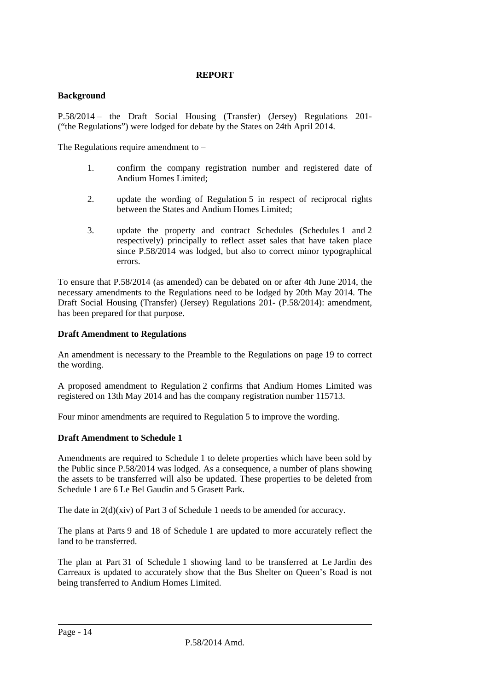#### **REPORT**

#### **Background**

P.58/2014 – the Draft Social Housing (Transfer) (Jersey) Regulations 201- ("the Regulations") were lodged for debate by the States on 24th April 2014.

The Regulations require amendment to –

- 1. confirm the company registration number and registered date of Andium Homes Limited;
- 2. update the wording of Regulation 5 in respect of reciprocal rights between the States and Andium Homes Limited;
- 3. update the property and contract Schedules (Schedules 1 and 2 respectively) principally to reflect asset sales that have taken place since P.58/2014 was lodged, but also to correct minor typographical errors.

To ensure that P.58/2014 (as amended) can be debated on or after 4th June 2014, the necessary amendments to the Regulations need to be lodged by 20th May 2014. The Draft Social Housing (Transfer) (Jersey) Regulations 201- (P.58/2014): amendment, has been prepared for that purpose.

#### **Draft Amendment to Regulations**

An amendment is necessary to the Preamble to the Regulations on page 19 to correct the wording.

A proposed amendment to Regulation 2 confirms that Andium Homes Limited was registered on 13th May 2014 and has the company registration number 115713.

Four minor amendments are required to Regulation 5 to improve the wording.

#### **Draft Amendment to Schedule 1**

Amendments are required to Schedule 1 to delete properties which have been sold by the Public since P.58/2014 was lodged. As a consequence, a number of plans showing the assets to be transferred will also be updated. These properties to be deleted from Schedule 1 are 6 Le Bel Gaudin and 5 Grasett Park.

The date in  $2(d)(\dot{x}$ iv) of Part 3 of Schedule 1 needs to be amended for accuracy.

The plans at Parts 9 and 18 of Schedule 1 are updated to more accurately reflect the land to be transferred.

The plan at Part 31 of Schedule 1 showing land to be transferred at Le Jardin des Carreaux is updated to accurately show that the Bus Shelter on Queen's Road is not being transferred to Andium Homes Limited.